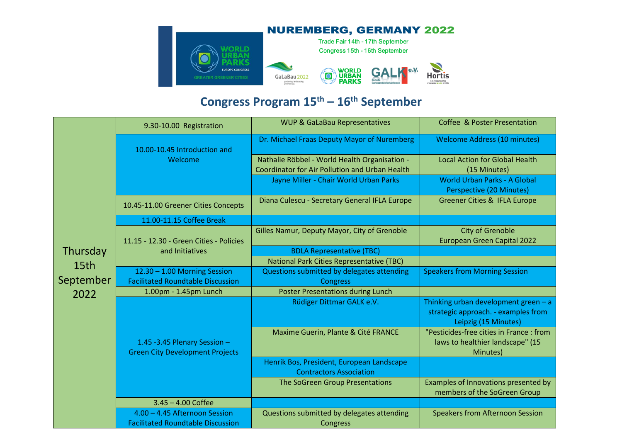

## **Congress Program 15th – 16th September**

| Thursday<br>15th<br>September<br>2022 | 9.30-10.00 Registration                                                  | <b>WUP &amp; GaLaBau Representatives</b>         | Coffee & Poster Presentation                                                                        |
|---------------------------------------|--------------------------------------------------------------------------|--------------------------------------------------|-----------------------------------------------------------------------------------------------------|
|                                       | 10.00-10.45 Introduction and<br>Welcome                                  | Dr. Michael Fraas Deputy Mayor of Nuremberg      | <b>Welcome Address (10 minutes)</b>                                                                 |
|                                       |                                                                          | Nathalie Röbbel - World Health Organisation -    | <b>Local Action for Global Health</b>                                                               |
|                                       |                                                                          | Coordinator for Air Pollution and Urban Health   | (15 Minutes)                                                                                        |
|                                       |                                                                          | Jayne Miller - Chair World Urban Parks           | <b>World Urban Parks - A Global</b><br>Perspective (20 Minutes)                                     |
|                                       | 10.45-11.00 Greener Cities Concepts                                      | Diana Culescu - Secretary General IFLA Europe    | <b>Greener Cities &amp; IFLA Europe</b>                                                             |
|                                       | 11.00-11.15 Coffee Break                                                 |                                                  |                                                                                                     |
|                                       | 11.15 - 12.30 - Green Cities - Policies<br>and Initiatives               | Gilles Namur, Deputy Mayor, City of Grenoble     | <b>City of Grenoble</b><br><b>European Green Capital 2022</b>                                       |
|                                       |                                                                          | <b>BDLA Representative (TBC)</b>                 |                                                                                                     |
|                                       |                                                                          | <b>National Park Cities Representative (TBC)</b> |                                                                                                     |
|                                       | 12.30 - 1.00 Morning Session                                             | Questions submitted by delegates attending       | <b>Speakers from Morning Session</b>                                                                |
|                                       | <b>Facilitated Roundtable Discussion</b>                                 | <b>Congress</b>                                  |                                                                                                     |
|                                       | 1.00pm - 1.45pm Lunch                                                    | <b>Poster Presentations during Lunch</b>         |                                                                                                     |
|                                       | 1.45 -3.45 Plenary Session $-$<br><b>Green City Development Projects</b> | Rüdiger Dittmar GALK e.V.                        | Thinking urban development green - a<br>strategic approach. - examples from<br>Leipzig (15 Minutes) |
|                                       |                                                                          | Maxime Guerin, Plante & Cité FRANCE              | "Pesticides-free cities in France: from<br>laws to healthier landscape" (15<br>Minutes)             |
|                                       |                                                                          | Henrik Bos, President, European Landscape        |                                                                                                     |
|                                       |                                                                          | <b>Contractors Association</b>                   |                                                                                                     |
|                                       |                                                                          | The SoGreen Group Presentations                  | Examples of Innovations presented by                                                                |
|                                       |                                                                          |                                                  | members of the SoGreen Group                                                                        |
|                                       | $3.45 - 4.00$ Coffee                                                     |                                                  |                                                                                                     |
|                                       | 4.00 - 4.45 Afternoon Session                                            | Questions submitted by delegates attending       | <b>Speakers from Afternoon Session</b>                                                              |
|                                       | <b>Facilitated Roundtable Discussion</b>                                 | Congress                                         |                                                                                                     |